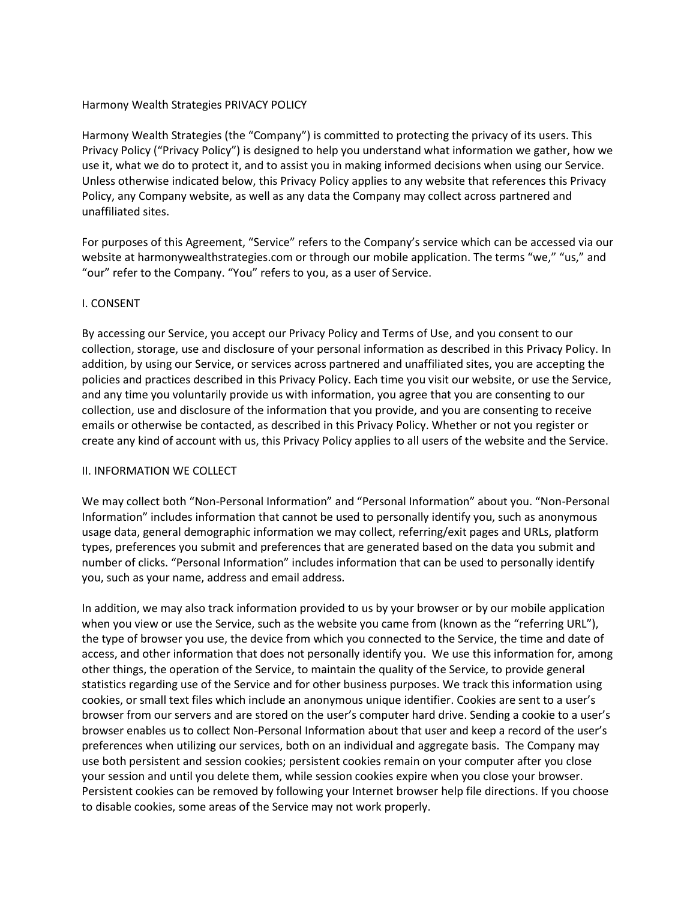# Harmony Wealth Strategies PRIVACY POLICY

Harmony Wealth Strategies (the "Company") is committed to protecting the privacy of its users. This Privacy Policy ("Privacy Policy") is designed to help you understand what information we gather, how we use it, what we do to protect it, and to assist you in making informed decisions when using our Service. Unless otherwise indicated below, this Privacy Policy applies to any website that references this Privacy Policy, any Company website, as well as any data the Company may collect across partnered and unaffiliated sites.

For purposes of this Agreement, "Service" refers to the Company's service which can be accessed via our website at harmonywealthstrategies.com or through our mobile application. The terms "we," "us," and "our" refer to the Company. "You" refers to you, as a user of Service.

### I. CONSENT

By accessing our Service, you accept our Privacy Policy and Terms of Use, and you consent to our collection, storage, use and disclosure of your personal information as described in this Privacy Policy. In addition, by using our Service, or services across partnered and unaffiliated sites, you are accepting the policies and practices described in this Privacy Policy. Each time you visit our website, or use the Service, and any time you voluntarily provide us with information, you agree that you are consenting to our collection, use and disclosure of the information that you provide, and you are consenting to receive emails or otherwise be contacted, as described in this Privacy Policy. Whether or not you register or create any kind of account with us, this Privacy Policy applies to all users of the website and the Service.

#### II. INFORMATION WE COLLECT

We may collect both "Non-Personal Information" and "Personal Information" about you. "Non-Personal Information" includes information that cannot be used to personally identify you, such as anonymous usage data, general demographic information we may collect, referring/exit pages and URLs, platform types, preferences you submit and preferences that are generated based on the data you submit and number of clicks. "Personal Information" includes information that can be used to personally identify you, such as your name, address and email address.

In addition, we may also track information provided to us by your browser or by our mobile application when you view or use the Service, such as the website you came from (known as the "referring URL"), the type of browser you use, the device from which you connected to the Service, the time and date of access, and other information that does not personally identify you. We use this information for, among other things, the operation of the Service, to maintain the quality of the Service, to provide general statistics regarding use of the Service and for other business purposes. We track this information using cookies, or small text files which include an anonymous unique identifier. Cookies are sent to a user's browser from our servers and are stored on the user's computer hard drive. Sending a cookie to a user's browser enables us to collect Non-Personal Information about that user and keep a record of the user's preferences when utilizing our services, both on an individual and aggregate basis. The Company may use both persistent and session cookies; persistent cookies remain on your computer after you close your session and until you delete them, while session cookies expire when you close your browser. Persistent cookies can be removed by following your Internet browser help file directions. If you choose to disable cookies, some areas of the Service may not work properly.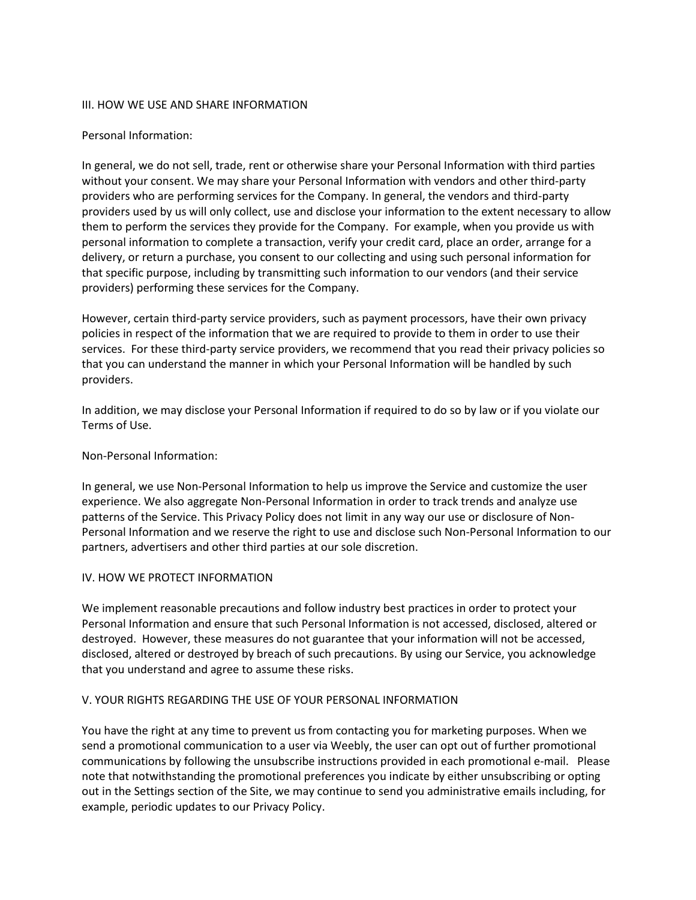### III. HOW WE USE AND SHARE INFORMATION

### Personal Information:

In general, we do not sell, trade, rent or otherwise share your Personal Information with third parties without your consent. We may share your Personal Information with vendors and other third-party providers who are performing services for the Company. In general, the vendors and third-party providers used by us will only collect, use and disclose your information to the extent necessary to allow them to perform the services they provide for the Company. For example, when you provide us with personal information to complete a transaction, verify your credit card, place an order, arrange for a delivery, or return a purchase, you consent to our collecting and using such personal information for that specific purpose, including by transmitting such information to our vendors (and their service providers) performing these services for the Company.

However, certain third-party service providers, such as payment processors, have their own privacy policies in respect of the information that we are required to provide to them in order to use their services. For these third-party service providers, we recommend that you read their privacy policies so that you can understand the manner in which your Personal Information will be handled by such providers.

In addition, we may disclose your Personal Information if required to do so by law or if you violate our Terms of Use.

# Non-Personal Information:

In general, we use Non-Personal Information to help us improve the Service and customize the user experience. We also aggregate Non-Personal Information in order to track trends and analyze use patterns of the Service. This Privacy Policy does not limit in any way our use or disclosure of Non-Personal Information and we reserve the right to use and disclose such Non-Personal Information to our partners, advertisers and other third parties at our sole discretion.

#### IV. HOW WE PROTECT INFORMATION

We implement reasonable precautions and follow industry best practices in order to protect your Personal Information and ensure that such Personal Information is not accessed, disclosed, altered or destroyed. However, these measures do not guarantee that your information will not be accessed, disclosed, altered or destroyed by breach of such precautions. By using our Service, you acknowledge that you understand and agree to assume these risks.

### V. YOUR RIGHTS REGARDING THE USE OF YOUR PERSONAL INFORMATION

You have the right at any time to prevent us from contacting you for marketing purposes. When we send a promotional communication to a user via Weebly, the user can opt out of further promotional communications by following the unsubscribe instructions provided in each promotional e-mail. Please note that notwithstanding the promotional preferences you indicate by either unsubscribing or opting out in the Settings section of the Site, we may continue to send you administrative emails including, for example, periodic updates to our Privacy Policy.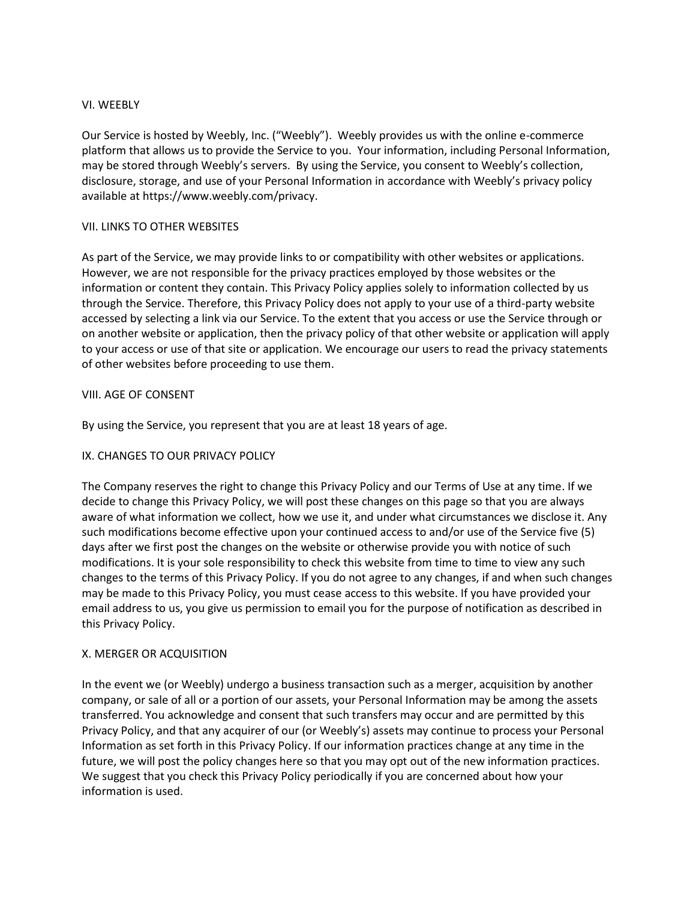### VI. WEEBLY

Our Service is hosted by Weebly, Inc. ("Weebly"). Weebly provides us with the online e-commerce platform that allows us to provide the Service to you. Your information, including Personal Information, may be stored through Weebly's servers. By using the Service, you consent to Weebly's collection, disclosure, storage, and use of your Personal Information in accordance with Weebly's privacy policy available at https://www.weebly.com/privacy.

# VII. LINKS TO OTHER WEBSITES

As part of the Service, we may provide links to or compatibility with other websites or applications. However, we are not responsible for the privacy practices employed by those websites or the information or content they contain. This Privacy Policy applies solely to information collected by us through the Service. Therefore, this Privacy Policy does not apply to your use of a third-party website accessed by selecting a link via our Service. To the extent that you access or use the Service through or on another website or application, then the privacy policy of that other website or application will apply to your access or use of that site or application. We encourage our users to read the privacy statements of other websites before proceeding to use them.

# VIII. AGE OF CONSENT

By using the Service, you represent that you are at least 18 years of age.

# IX. CHANGES TO OUR PRIVACY POLICY

The Company reserves the right to change this Privacy Policy and our Terms of Use at any time. If we decide to change this Privacy Policy, we will post these changes on this page so that you are always aware of what information we collect, how we use it, and under what circumstances we disclose it. Any such modifications become effective upon your continued access to and/or use of the Service five (5) days after we first post the changes on the website or otherwise provide you with notice of such modifications. It is your sole responsibility to check this website from time to time to view any such changes to the terms of this Privacy Policy. If you do not agree to any changes, if and when such changes may be made to this Privacy Policy, you must cease access to this website. If you have provided your email address to us, you give us permission to email you for the purpose of notification as described in this Privacy Policy.

#### X. MERGER OR ACQUISITION

In the event we (or Weebly) undergo a business transaction such as a merger, acquisition by another company, or sale of all or a portion of our assets, your Personal Information may be among the assets transferred. You acknowledge and consent that such transfers may occur and are permitted by this Privacy Policy, and that any acquirer of our (or Weebly's) assets may continue to process your Personal Information as set forth in this Privacy Policy. If our information practices change at any time in the future, we will post the policy changes here so that you may opt out of the new information practices. We suggest that you check this Privacy Policy periodically if you are concerned about how your information is used.